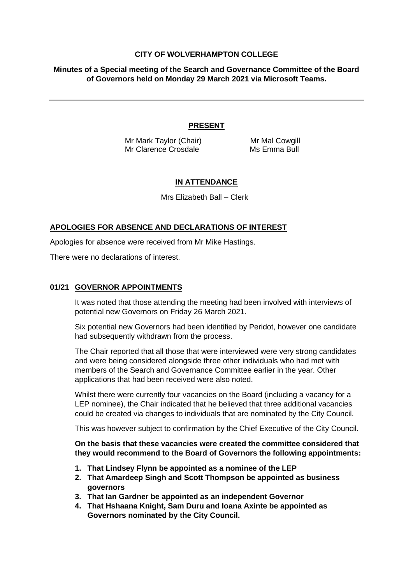## **CITY OF WOLVERHAMPTON COLLEGE**

**Minutes of a Special meeting of the Search and Governance Committee of the Board of Governors held on Monday 29 March 2021 via Microsoft Teams.**

## **PRESENT**

Mr Mark Taylor (Chair) Mr Mal Cowgill Mr Clarence Crosdale Ms Emma Bull

# **IN ATTENDANCE**

Mrs Elizabeth Ball – Clerk

#### **APOLOGIES FOR ABSENCE AND DECLARATIONS OF INTEREST**

Apologies for absence were received from Mr Mike Hastings.

There were no declarations of interest.

#### **01/21 GOVERNOR APPOINTMENTS**

It was noted that those attending the meeting had been involved with interviews of potential new Governors on Friday 26 March 2021.

Six potential new Governors had been identified by Peridot, however one candidate had subsequently withdrawn from the process.

The Chair reported that all those that were interviewed were very strong candidates and were being considered alongside three other individuals who had met with members of the Search and Governance Committee earlier in the year. Other applications that had been received were also noted.

Whilst there were currently four vacancies on the Board (including a vacancy for a LEP nominee), the Chair indicated that he believed that three additional vacancies could be created via changes to individuals that are nominated by the City Council.

This was however subject to confirmation by the Chief Executive of the City Council.

**On the basis that these vacancies were created the committee considered that they would recommend to the Board of Governors the following appointments:**

- **1. That Lindsey Flynn be appointed as a nominee of the LEP**
- **2. That Amardeep Singh and Scott Thompson be appointed as business governors**
- **3. That Ian Gardner be appointed as an independent Governor**
- **4. That Hshaana Knight, Sam Duru and Ioana Axinte be appointed as Governors nominated by the City Council.**